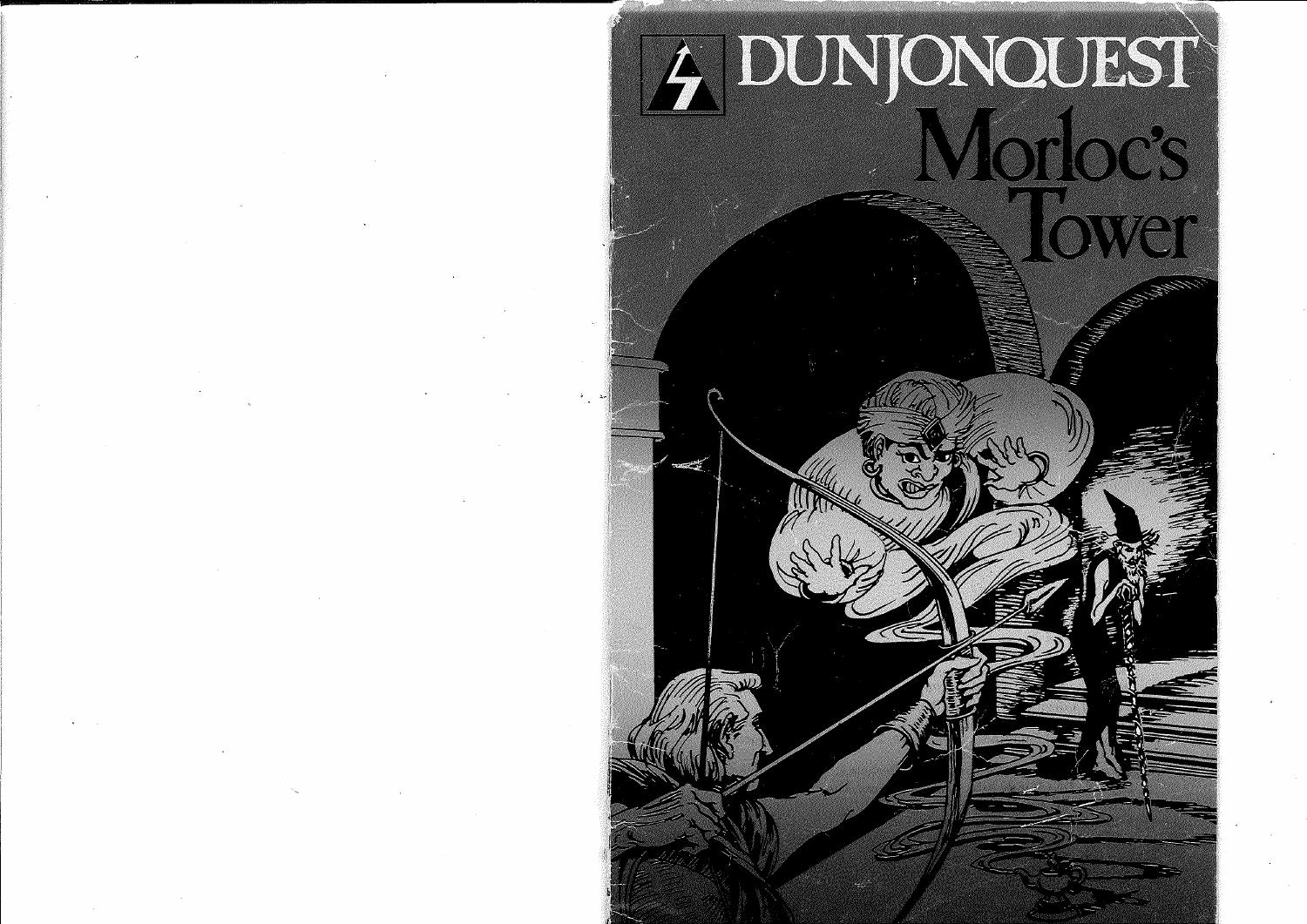# 4 DUNJONOUEST  $\Delta r$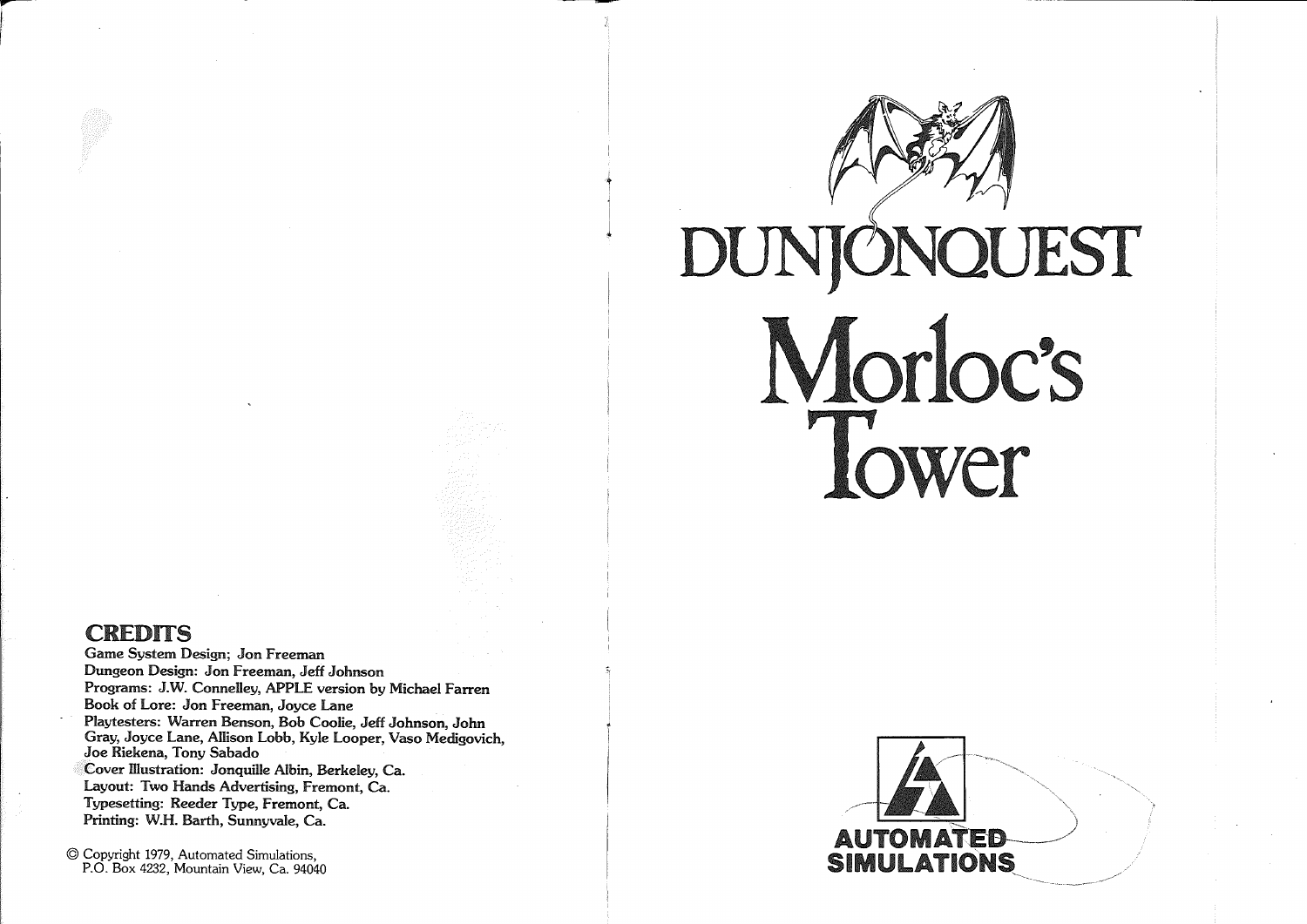

-------------------------,

# DUNJÖNQUEST Morloc's Tower

## **CREDITS**

 $\blacksquare$ 

**International Contract Contract Contract Contract Contract Contract Contract Contract Contract Contract Contract Contract Contract Contract Contract Contract Contract Contract Contract Contract Contract Contract Contract** 

Game System Design; Jon Freeman Dungeon Design: Jon Freeman, Jeff Johnson Programs: J.W. Connelley, APPLE version by Michael Farren Book of Lore: Jon Freeman, Joyce Lane Playtesters: Warren Benson, Bob Coolie, Jeff Johnson, John Gray, Joyce Lane, Allison Lobb, Kyle Looper, Vaso Medigovich, Joe Riekena, Tony Sabado Cover Illustration: Jonquille Albin, Berkeley, Ca. Layout: Two Hands Advertising, Fremont, Ca. Typesetting: Reeder Type, Fremont, Ca. Printing: W.H. Barth, Sunnyvale, Ca.

© Copyright 1979, Automated Simulations, P.O. Box 4232, Mountain View, Ca. 94040

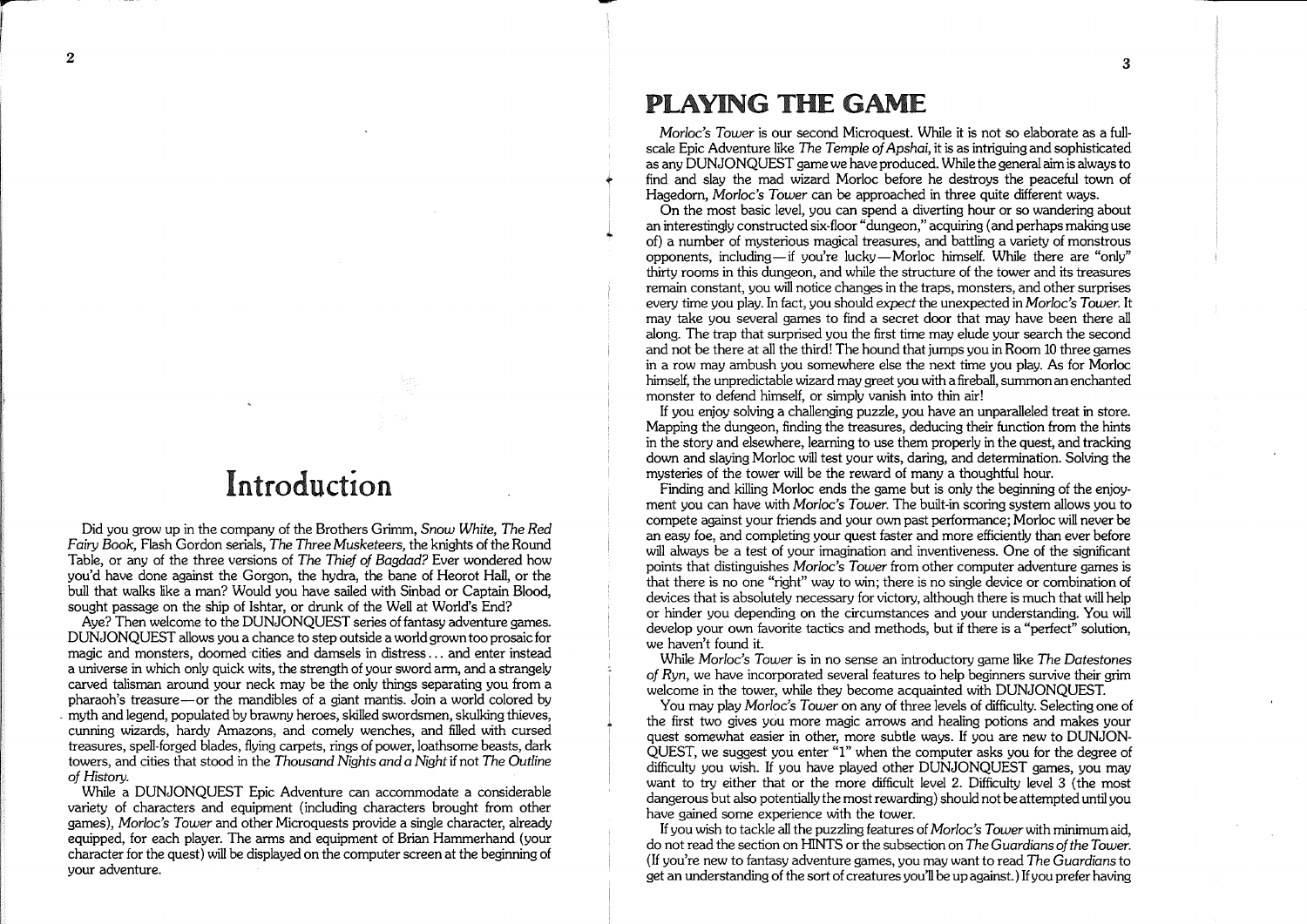## Introduction

Did you grow up in the company of the Brothers Grimm, *Snow White, The Red Fairy Book,* Flash Gordon serials, *The Three* Musketeers, the knights ofthe Round Table, or any of the three versions of *The Thief of Bagdad?* Ever wondered how you'd have done against the Gorgon, the hydra, the bane of Heorot Hall, or the bull that walks like a man? Would you have sailed with Sinbad or Captain Blood, sought passage on the ship of Ishtar, or drunk of the WeII at World's End?

Aye? Then welcome to the DUNJONQUEST series of fantasy adventure games. DUNJONQUEST allows you a chance to step outside a world growntoo prosaic for magic and monsters, doomed 'cities and damsels in distress ... and enter instead a universe in which only quick wits, the strength of your sword arm, and a strangely carved talisman around your neck may be the only things separating you from a pharaoh's treasure-or the mandibles of a giant mantis. Join a world colored by . myth and legend, populated by brawny heroes, skilled swordsmen, skulking thieves, cunning wizards, hardy Amazons, and comely wenches, and filled with cursed treasures, speII-forged blades, flying carpets, rings of power, loathsome beasts, dark towers, and cities that stood in the *Thousand Nights and* a *Night* if not *The Outline of* History.

While a DUNJONQUEST Epic Adventure can accommodate a considerable variety of characters and equipment (including characters brought from other games), Morloc's *Tower* and other Microquests provide a single character, already equipped, for each player. The arms and equipment of Brian Hammerhand (your character for the quest) will be displayed on the computerscreen at the beginning of your adventure.

## PLAYING THE GAME

Morloc's *Tower* is our second Microquest. While it is not so elaborate as a fullscale Epic Adventure like *The Temple of*Apshai, it is as intriguing and sophisticated as any DUNJONQUEST game we have produced. While the general aimis alwaysto find and slay the mad wizard Morloc before he destroys the peaceful town of Hagedorn, Morloc's *Tower* can be approached in three quite different ways.

On the most basic level, you can spend a diverting hour or so wandering about an interestingly constructed six-floor "dungeon," acquiring (and perhaps making use of) a number of mysterious magical treasures, and battling a variety of monstrous opponents, including-if you're lucky-Morloc himself. While there are "only" thirty rooms in this dungeon, and while the structure of the tower and Its treasures remain constant, you will notice changes in the traps, monsters, and other surprises every time you play. In fact, you should *expect* the unexpected in *Morloc's Tower.* It may take you several games to find a secret door that may have been there all along. The trap that surprised you the first time may elude your search the second and not be there at all the third! The hound that jumps you in Room 10 three games in a row may ambush you somewhere else the next time you play. As for Morloc himself, the unpredictable wizard may greet you with a fireball, summon an enchanted monster to defend himself, or simply vanish into thin air!

If you enjoy solving a chaIIenging puzzle, you have an unparalleled treat in store. Mapping the dungeon, finding the treasures, deducing their function from the hints in the story and elsewhere, learning to use them properly in the quest, and tracking down and slaying Morloc will test your wits, daring, and determination. Solving the mysteries of the tower will be the reward of many a thoughtful hour.

Finding and killing Morloc ends the game but is only the beginning of the enjoyment you can have with Morloc's *Tower.* The built-in scoring system allows you to compete against your friends and your own past performance; Morloc will never be an easy foe, and completing your quest faster and more efficiently than ever before will always be a test of your imagination and inventiveness. One of the significant points that distinguishes Morloc's *Tower* from other computer adventure games is that there is no one "right" way to win; there is no single device or combination of devices that is absolutely necessary for victory, although there is much that wiII help or hinder you depending on the circumstances and your understanding. You wiII develop your own favorite tactics and methods, but if there is a "perfect" solution, we haven't found it.

While *Morloc's* Tower is in no sense an introductory game like *The Datestones of Ryn,* we have incorporated several features to help beginners survive their grim welcome in the tower, while they become acquainted with DUNJONQUEST.

You may play Morloc's *Tower* on any of three levels of difficulty. Selecting one of the first two gives you more magic arrows and healing potions and makes your quest somewhat easier in other, more subtle ways. If you are new to DUNJON-QUEST, we suggest you enter "1" when the computer asks you for the degree of difficulty you wish. If you have played other DUNJONQUEST games, you may want to try either that or the more difficult level 2. Difficulty level 3 (the most dangerous but also potentially the mostrewarding) should not be attempted until you have gained some experience with the tower.

If you wish to tackle all the puzzling features of *Morloc's Tower* with minimum aid, do not read the section on HINTS or the subsection on *The Guardians ofthe Tower.* (If you're new to fantasy adventure games, you may want to read *The Guardians* to get an understanding of the sort of creatures you'II be up against.) Ifyou prefer having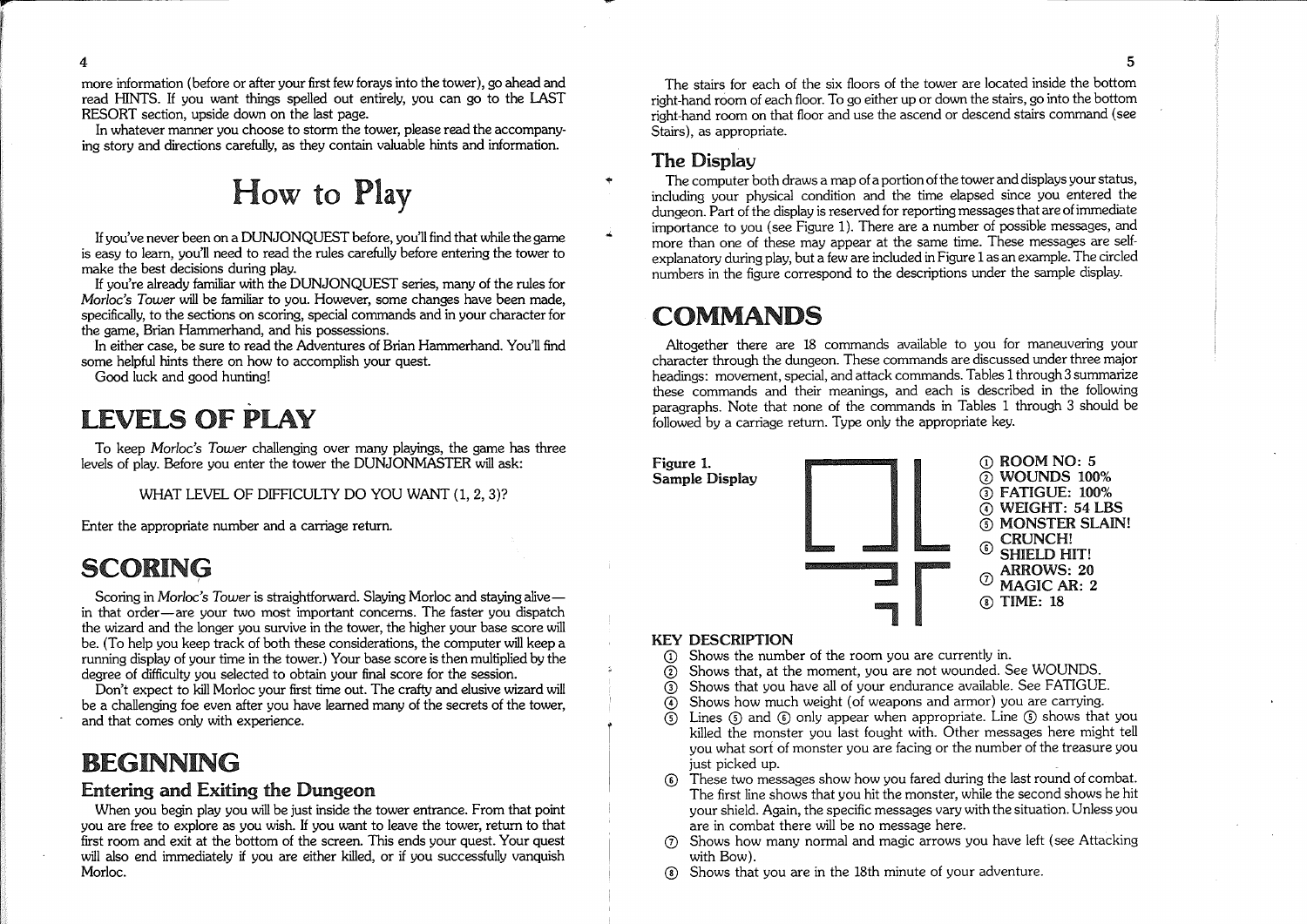more information (before or after your first few forays into the tower), go ahead and read HINTS. If you want things spelled out entirely, you can go to the LAST RESORT section, upside down on the last page.

In whatever manner you choose to storm the tower, please read the accompanying story and directions carefully, as they contain valuable hints and information.

How to Play

Ifyou've never been on a DUNJONQUEST before, you'll find that while the game is easy to learn, you'll need to read the rules carefully before entering the tower to make the best decisions during play.

If you're already familiar with the DUNJONQUEST series, many of the rules for Morloc's *Tower* will be familiar to you. However, some changes have been made, specifically, to the sections on scoring, special commands and in your character for the game, Brian Hammerhand, and his possessions.

In either case, be sure to read the Adventures of Brian Hammerhand. You'll find some helpful hints there on how to accomplish your quest.

Good luck and good hunting!

### . LEVELS OF PLAY

To keep Morloc's *Tower* challenging over many playings, the game has three levels of play. Before you enter the tower the DUNJONMASTER will ask:

WHAT LEVEL OF DIFFICULTY DO YOU WANT (1, 2, 3)?

Enter the appropriate number and a carriage return.

## SCORING

Scoring in Morloc's *Tower* is straightforward. Slaying Morloc and staying alivein that order-are your two most important concerns. The faster you dispatch the wizard and the longer you survive in the tower, the higher your base score will be. (To help you keep track of both these considerations, the computer will keep a running display of your time in the tower.) Your base score is then multiplied by the degree of difficulty you selected to obtain your final score for the session.

Don't expect to kill Morloc your first time out. The crafty and elusive wizard will be a challenging foe even after you have learned many of the secrets of the tower, and that comes only with experience.

## BEGINNING

#### Entering and Exiting the Dungeon

When you begin play you will be just inside the tower entrance. From that point you are free to explore as you wish. If you want to leave the tower, return to that first room and exit at the bottom of the screen. This ends your quest. Your quest will also end immediately if you are either killed, or if you successfully vanquish Morloc.

The stairs for each of the six floors of the tower are located inside the bottom right-hand room of each floor. To go either up or down the stairs, go into the bottom right-hand room on that floor and use the ascend or descend stairs command (see Stairs), as appropriate.

#### The Display

The computer both draws a map of a portion of the tower and displays your status, including your physical condition and the time elapsed since you entered the dungeon. Part of the display is reserved for reporting messagesthat are ofimmediate importance to you (see Figure 1). There are a number of possible messages, and more than one of these may appear at the same time. These messages are selfexplanatory during play, but a few are included in Figure 1as an example. The circled numbers in the figure correspond to the descriptions under the sample display.

## **COMMANDS**

Altogether there are 18 commands available to you for maneuvering your character through the dungeon. These commands are discussed under three major headings: movement, special, and attack commands. Tables 1through 3 summarize these commands and their meanings, and each is described in the following paragraphs. Note that none of the commands in Tables 1 through 3 should be followed by a carriage return. Type only the appropriate key.



#### KEY DESCRIPTION

- $\Omega$  Shows the number of the room you are currently in.
- $\Omega$  Shows that, at the moment, you are not wounded. See WOUNDS.
- $\widetilde{O}$  Shows that you have all of your endurance available. See FATIGUE.
- $\overline{A}$  Shows how much weight (of weapons and armor) you are carrying.
- $\overline{G}$  Lines  $\overline{G}$  and  $\overline{G}$  only appear when appropriate. Line  $\overline{G}$  shows that you killed the monster you last fought with. Other messages here might tell you what sort of monster you are facing or the number of the treasure you just picked up.
- CD These two messages show how you fared during the last round of combat. The first line shows that you hit the monster, while the second shows he hit your shield. Again, the specific messages vary with the situation. Unless you are in combat there will be no message here.
- $(7)$  Shows how many normal and magic arrows you have left (see Attacking with Bow).
- ® Shows that you are in the 18th minute of your adventure.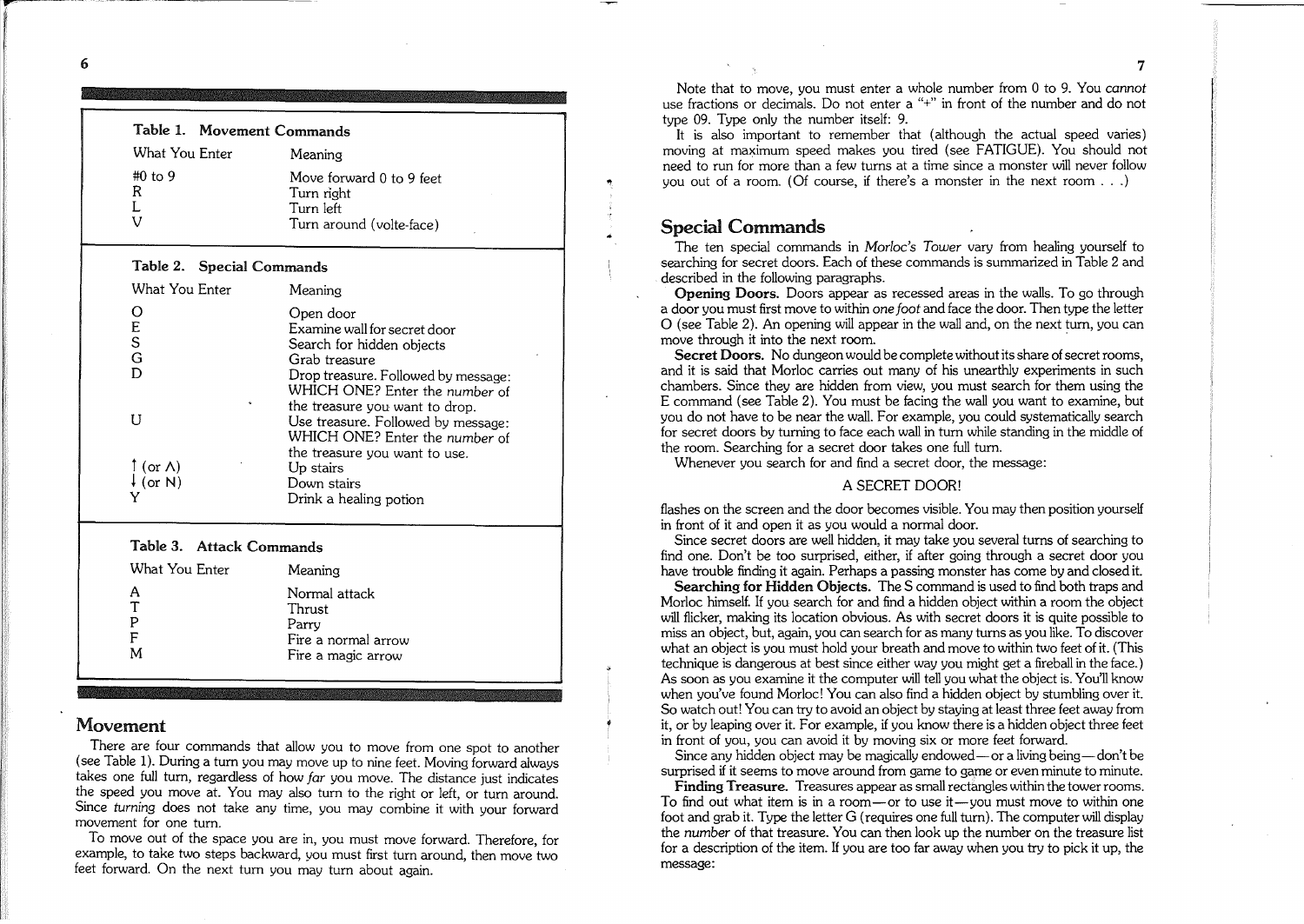Note that to *move,* you must enter a whole number from 0 to 9. You *cannot* use fractions or decimals. Do not enter a "+" in front of the number and do not type 09. Type only the number itself: 9.

It is also important to remember that (although the actual speed *varies)* moving at maximum speed makes you tired (see FATIGUE). You should not need to run for more than a few turns at a time since a monster will never follow you out of a room. (Of course, if there's a monster in the next room  $\dots$ )

#### Special Commands

..

The ten special commands in Morloc's *Tower vary* from healing yourself to searching for secret doors. Each of these commands is summarized in Table 2 and described in the following paragraphs.

Opening Doors. Doors appear as recessed areas in the walls. To go through a door you must first *move* to within *one foot* and face the door. Then type the letter o (see Table 2). An opening will appear in the wall and, on the next tum, you can move through it into the next room.

Secret Doors. No dungeon would be complete without its share of secret rooms, and it is said that Morloc carries out many of his unearthly experiments in such chambers. Since they are hidden from view, you must search for them using the E command (see Table 2). You must be facing the wall you want to examine, but you do not *have* to be near the wall. For example, you could systematically search for secret doors by turning to face each wall in tum while standing in the middle of the room. Searching for a secret door takes one full turn.

Whenever you search for and find a secret door, the message:

#### A SECRET DOOR!

flashes on the screen and the door becomes visible. You may then position yourself in front of it and open it as you would a normal door.

Since secret doors are well hidden, it may take you *several* turns of searching to find one. Don't be too surprised, either, if after going through a secret door you *have* trouble finding it again. Perhaps a passing monster has come by and closed it.

Searching for Hidden Objects. The S command is used to find both traps and Morloc himself. If you search for and find a hidden object within a room the object will flicker, making its location *obvious.* As with secret doors it is quite possible to miss an object, but, again, you can search for as many turns as you like. To *discover* what an object is you must hold your breath and *move* to within two feet ofit. (This technique is dangerous at best since either way you might get a fireball in the face.) As soon as you examine it the computer will tell you what the object is. You'll know when *you've* found Morloe! You can also find a hidden object by stumbling *over* it. So watch out! You can try to *avoid* an object by staying at least three feet away from it, or by leaping *over* it. For example, if you know there is a hidden object three feet in front of you, you can *avoid* it by *moving* six or more feet forward.

Since any hidden object may be magically endowed — or a living being — don't be surprised if it seems to *move* around from game to game or even minute to minute.

Finding Treasure. Treasures appear as small rectangles within the tower rooms. To find out what item is in a room-or to use it-you must *move* to within one foot and grab it. Type the letter G (requires one full tum). The computer will display the *number* of that treasure. You can then look up the number on the treasure list for a description of the item. If you are too far away when you try to pick it up, the message:

|                          | Table 1. Movement Commands                                                             |                                                                                                                                                                                                                                                                                                                                                                   |
|--------------------------|----------------------------------------------------------------------------------------|-------------------------------------------------------------------------------------------------------------------------------------------------------------------------------------------------------------------------------------------------------------------------------------------------------------------------------------------------------------------|
|                          | What You Enter                                                                         | Meaning                                                                                                                                                                                                                                                                                                                                                           |
|                          | $#0$ to 9<br>R<br>L<br>V                                                               | Move forward 0 to 9 feet<br>Turn right<br>Turn left<br>Turn around (volte-face)                                                                                                                                                                                                                                                                                   |
|                          | Table 2. Special Commands                                                              |                                                                                                                                                                                                                                                                                                                                                                   |
|                          | What You Enter                                                                         | Meaning                                                                                                                                                                                                                                                                                                                                                           |
|                          | O<br>E<br>S<br>G<br>D<br>U<br>$\restriction$ (or $\land$ )<br>$\downarrow$ (or N)<br>Y | Open door<br>Examine wall for secret door<br>Search for hidden objects<br>Grab treasure<br>Drop treasure. Followed by message:<br>WHICH ONE? Enter the number of<br>the treasure you want to drop.<br>Use treasure. Followed by message:<br>WHICH ONE? Enter the number of<br>the treasure you want to use.<br>Up stairs<br>Down stairs<br>Drink a healing potion |
| Table 3. Attack Commands |                                                                                        |                                                                                                                                                                                                                                                                                                                                                                   |
|                          | What You Enter                                                                         | Meaning                                                                                                                                                                                                                                                                                                                                                           |
|                          | Α<br>Τ<br>P<br>F<br>M                                                                  | Normal attack<br>Thrust<br>Parry<br>Fire a normal arrow<br>Fire a magic arrow                                                                                                                                                                                                                                                                                     |

#### Movement

There are four commands that allow you to move from one spot to another (see Table 1). Dunng a tum you may *move* up to nine feet. Moving forward always takes one full tum, regardless of how *far* you *move.* The distance just indicates the speed you move at. You may also turn to the right or left, or turn around. Since *turning* does not take any time, you may combine it with your forward *movement* for one turn.

To *move* out of the space you are in, you must *move* forward. Therefore, for example, to take two steps backward, you must first tum around, then *move* two feet forward. On the next tum you may tum about again.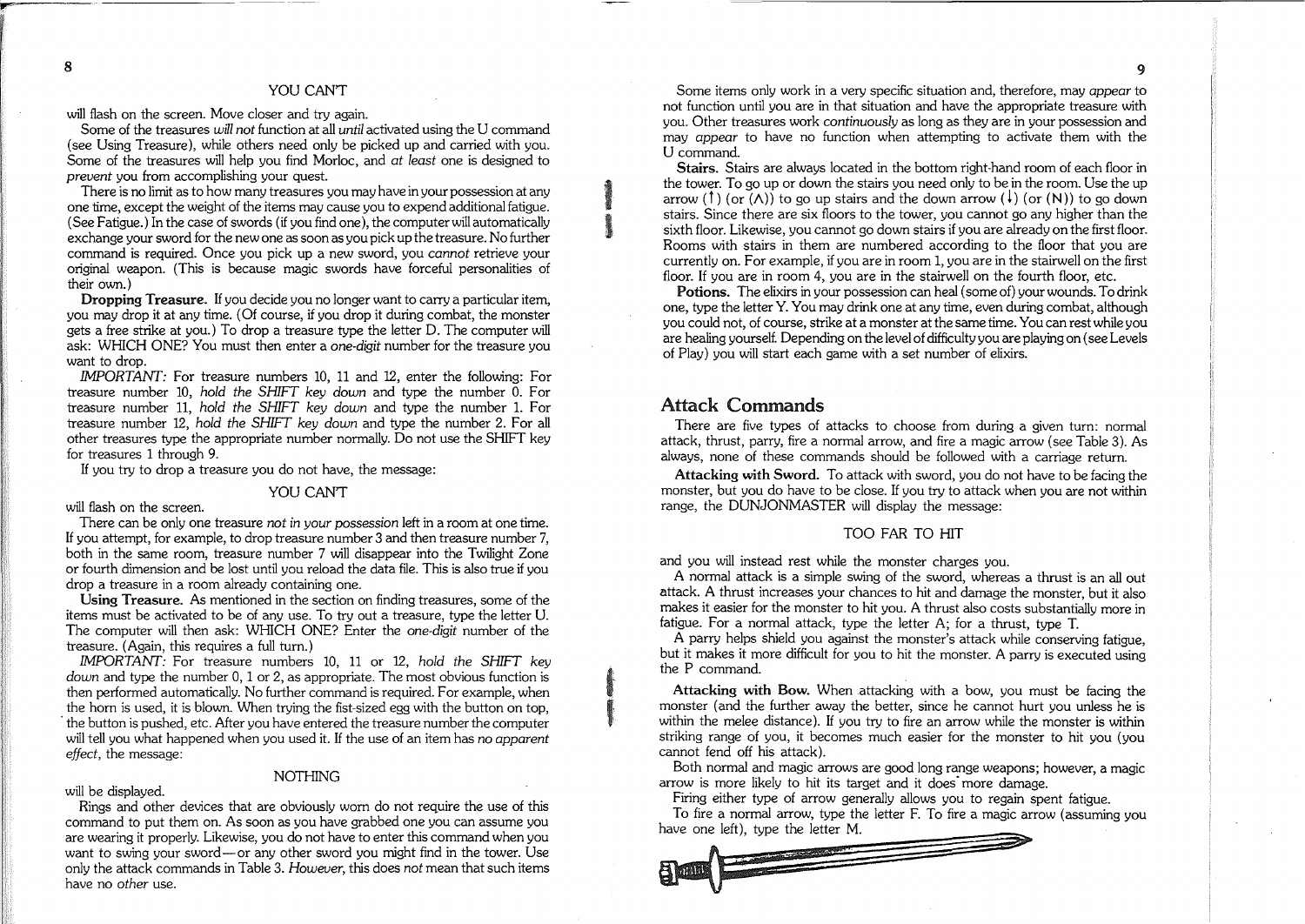#### YOU CAN'T

will flash on the screen. Move closer and try again.

--------- ---

Some of the treasures *will not* function at all *until* activated using the U command (see Using Treasure), while others need only be picked up and carried with you. Some of the treasures will help you find Morloc, and *at least* one is designed to *prevent* you from accomplishing your quest.

There is no limit as to how many treasures you may have in your possession at any one time except the weight of the items may cause you to expend additionalfatigue. (See Fatigue.) In the case of swords (if you find one), the computer will automatically exchange your sword for the new one assoon as you pick up the treasure. No further command is required. Once you pick up a new sword, you *cannot* retrieve your original weapon. (This is because magic swords have forceful personalities of their own.)

Dropping Treasure. If you decide you no longer want to carry a particular item, you may drop it at any time. (Of course, if you drop it during combat, the monster gets a free strike at you.) To drop a treasure type the letter D. The computer Will ask: WHICH ONE? You must then enter a *one-digit* number for the treasure you want to drop.

*IMPORTANT:* For treasure numbers 10, 11 and 12, enter the following: For treasure number 10, *hold the SHIFT key down* and type the number O. For treasure number 11, *hold the SHIFT key down* and type the number 1. For treasure number 12, *hold the SHIFT key down* and type the number 2. For all other treasures type the appropriate number normally. Do not use the SHIFT key for treasures 1 through 9.

If you try to drop a treasure you do not have, the message:

#### YOU CAN'T

will flash on the screen.

There can be only one treasure *not in your possession* left in a room at one time. If you attempt, for example, to drop treasure number 3 and then treasure number 7, both in the same room, treasure number 7 will disappear into the Twilight Zone or fourth dimension and be lost until you reload the data file. This is also true if you drop a treasure in a room already containing one.

Using Treasure. As mentioned in the section on finding treasures, some of the items must be activated to be of any use. To tryout a treasure, type the letter U. The computer will then ask: WHICH ONE? Enter the *one-digit* number of the treasure. (Again, this requires a full turn.)

*IMPORTANT:* For treasure numbers 10, 11 or 12, *hold the SHIFT key down* and type the number 0, 1 or 2, as appropriate. The most obvious function is then performed automatically. No further command is required. For example, when the horn is used, it is blown. When trying the fist-sized egg with the button on top, . the button is pushed, etc. After you have entered the treasure number the computer will tell you what happened when you used it. If the use of an item has *no apparent effect,* the message: *WPORTANT:* For treasure numbers 10, 11 or 12, *hold the SHIFT key down* and type the number 0, 1 or 2, as appropriate. The most obvious function is then performed automatically. No further command is required. For exam

NOTHING

command to put them on. As soon as you have grabbed one you can assume you are wearing it properly. Likewise, you do not have to enter this command when you want to swing your sword-or any other sword you might find in the tower. Use only the attack commands in Table 3. *However,* this does *not* mean that such items have no *other* use.

Some items only work in a very specific situation and, therefore, may *appear* to not function until you are in that situation and have the appropriate treasure with you. Other treasures work *continuously* as long as !hey are in. your possession and may *appear* to have no function when attemptmg to activate them with the U command.

Stairs. Stairs are always located in the bottom right-hand room of each floor in the tower. To go up or down the stairs you need only to be in the room. Use the up arrow (1) (or  $(\wedge)$ ) to go up stairs and the down arrow  $(\downarrow)$  (or  $(N)$ ) to go down stairs. Since there are six floors to the tower, you cannot go any higher than the sixth floor. Likewise, you cannot go down stairs if you are already on the first floor. Rooms with stairs in them are numbered according to the floor that you are currently on. For example, if you are in room 1, you are in the stairwell on the first floor. If you are in room 4, you are in the stairwell on the fourth floor, etc.

Potions. The elixirs in your possession can heal (some of) your wounds. To drink one, type the letter Y. You may drink one at any time, even during combat, although you could not, of course, strike at a monster at the same time. You can rest while you are healing yourself. Depending on the level of difficulty you are playing on (see Levels of Play) you will start each game with a set number of elixirs.

#### Attack Commands

**INSURANCE** 

There are five types of attacks to choose from during a given turn: normal attack, thrust, parry, fire a normal arrow, and fire a magic arrow (see Table 3). As always, none of these commands should be followed with a carriage return.

Attacking with Sword. To attack with sword, you do not have to be facing the monster, but you do have to be close. If you try to attack when you are not within range, the DUNJONMASTER will display the message:

#### TOO FAR TO HIT

and you will instead rest while the monster charges you.

A normal attack is a simple swing of the sword, whereas a thrust is an all out attack. A thrust increases your chances to hit and damage the monster, but it also makes it easier for the monster to hit you. A thrust also costs substantially more in fatigue. For a normal attack, type the letter A; for a thrust, type T.

A parry helps shield you against the monster's attack while conserving fatigue, but it makes it more difficult for you to hit the monster. A parry is executed using the P command.

Attacking with Bow. When attacking with a bow, you must be facing the monster (and the further away the better, since he cannot hurt you unless he is within the melee distance). If you try to fire an arrow while the monster is within striking range of you, it becomes much easier for the monster to hit you (you cannot fend off his attack).

Both normal and magic arrows are good long range weapons; however, a magic arrow is more likely to hit its target and it does' more damage.

Firing either type of arrow generally allows you to regain spent fatigue.

To fire a normal arrow, type the letter F. To fire a magic arrow (assuming you have one left), type the letter M.

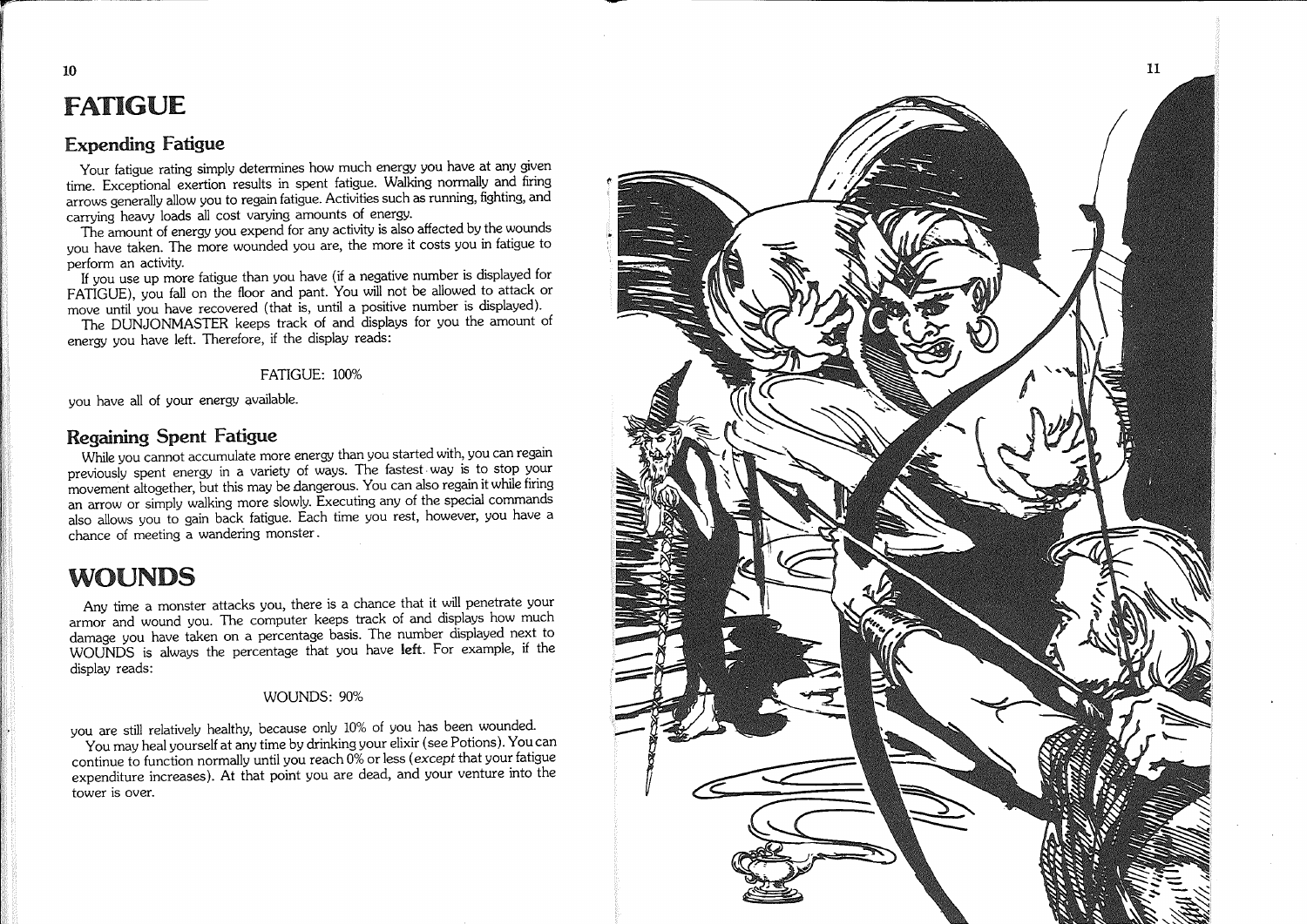## FATIGUE

 $\mathbf{F}$ 

10

#### Expending Fatigue

Your fatigue rating simply determines how much energy you have at any given time. Exceptional exertion results in spent fatigue. Walking normally and firing arrows generally allow you to regain fatigue. Activities such as running, fighting, and carrying heavy loads all cost varying amounts of energy.

The amount of energy you expend for any activity is also affected by the wounds you have taken. The more wounded you are, the more it costs you in fatigue to

perform an activity.<br>If you use up more fatigue than you have (if a negative number is displayed for FATIGUE), you fall on the floor and pant. You will not be allowed to attack or move until you have recovered (that is, until a positive number is displayed).

The DUNJONMASTER keeps track of and displays for you the amount of energy you have left. Therefore, if the display reads:

#### FATIGUE: 100%

you have all of your energy available.

#### Regaining Spent Fatigue

While you cannot accumulate more energy than you started with, you can regain previously spent energy in a variety of ways. The fastest· way is to stop your movement altogether, but this may be dangerous. You can also regain it while firing an arrow or simply walking more slowly. Executing any of the special commands also allows you to gain back fatigue. Each time you rest, however, you have a chance of meeting a wandering monster.

## WOUNDS

Any time a monster attacks you, there is a chance that it will penetrate your armor and wound you. The computer keeps track of and displays how much damage you have taken on a percentage basis. The number displayed next to WOUNDS is always the percentage that you have left. For example, if the display reads:

#### WOUNDS: 90%

you are still relatively healthy, because only 10% of you has been wounded.

You may heal yourself at any time by drinking your elixir (see Potions). You can continue to function normally until you reach 0% or less (except that your fatigue expenditure increases). At that point you are dead, and your venture into the tower is over.

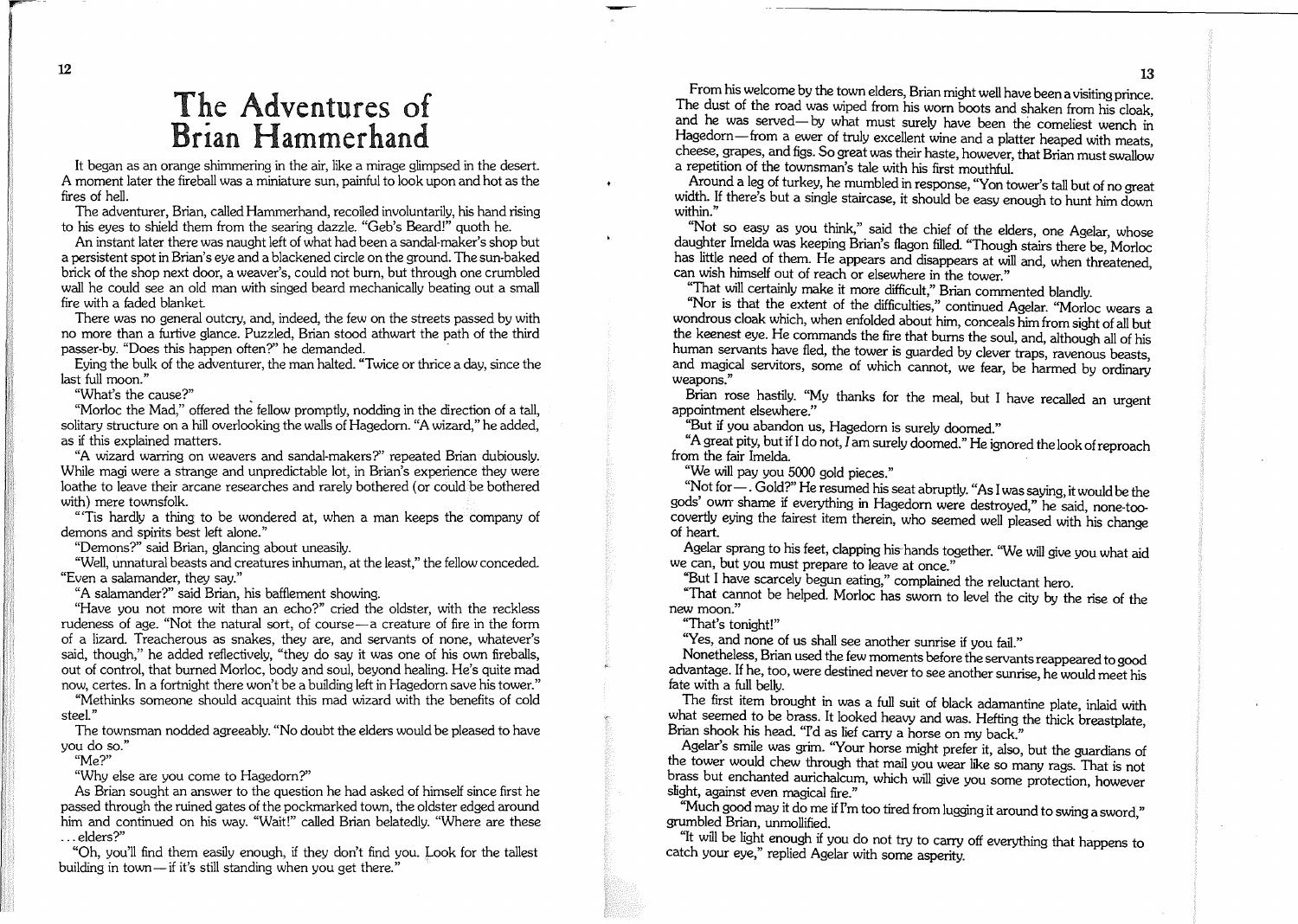## The Adventures of Brian Hammerhand

It began as an orange shimmering in the air, like a mirage glimpsed in the desert. A moment later the fireball was a miniature sun, painful to look upon and hot as the fires of hell.

The adventurer, Brian, called Hammerhand, recoiled involuntarily, his hand rising to his eyes to shield them from the searing dazzle. "Geb's Beard!" quoth he.

An instant later there was naught left of what had been a sandal-maker's shop but a persistent spot in Brian's eye and a blackened circle on the ground. The sun-baked brick of the shop next door, a weaver's, could not burn, but through one crumbled wall he could see an old man with singed beard mechanically beating out a small fire with a faded blanket

There was no general outcry, and, indeed, the few on the streets passed by with no more than a furtive glance. Puzzled, Brian stood athwart the path of the third passer-by. "Does this happen often?" he demanded.

Eying the bulk of the adventurer, the man halted. "Twice or thrice a day, since the last full moon."

"What's the cause?"

"Morloc the Mad," offered the fellow promptly, nodding in the direction of a tall, solitary structure on a hill overlooking the walls of Hagedorn. "A wizard," he added, as if this explained matters.

"A wizard warring on weavers and sandal-makers?" repeated Brian dubiously. While magi were a strange and unpredictable lot, in Brian's experience they were loathe to leave their arcane researches and rarely bothered (or could be bothered with) mere townsfolk.

"'Tis hardly a thing to be wondered at, when a man keeps the company of demons and spirits best left alone."

"Demons?" said Brian, glancing about uneasily.

"Well, unnatural beasts and creaturesinhuman, at the least," the fellow conceded. "Even a salamander, they say."

"A salamander?" said Brian, his bafflement showing.

"Have you not more wit than an echo?" cried the oldster, with the reckless rudeness of age. "Not the natural sort, of course-a creature of fire in the form of a lizard. Treacherous as snakes, they are, and servants of none, whatever's said, though," he added reflectively, "they do say it was one of his own fireballs, out of control, that burned Morloc, body and soul, beyond healing. He's quite mad now, certes. In a fortnight there won't be a building left in Hagedorn save his tower."

"Methinks someone should acquaint this mad wizard with the benefits of cold steel."

The townsman nodded agreeably. "No doubt the elders would be pleased to have you do so."

"Me?"

"Why else are you come to Hagedorn?"

As Brian sought an answer to the question he had asked of himself since first he passed through the ruined gates of the pockmarked town, the oldster edged around him and continued on his way. "Wait!" called Brian belatedly. "Where are these ... elders?"

"Oh, you'll find them easily enough, if they don't find you. Look for the tallest building in town-if it's still standing when you get there."

From his welcome by the town elders, Brian might well have been a visiting prince. The dust of the road was wiped from his worn boots and shaken from his cloak. and he was served-by what must surely have been the comeliest wench in Hagedorn-from a ewer of truly excellent wine and a platter heaped with meats, cheese, grapes, and figs. So great was their haste, however, that Brian must swallow a repetition of the townsman's tale with his first mouthfuL

Around a leg of turkey, he mumbled in response, "Yon tower's tall but of no great width. If there's but a single staircase, it should be easy enough to hunt him down within."

"Not so easy as you think," said the chief of the elders, one Agelar, whose daughter Imelda was keeping Brian's flagon filled. "Though stairs there be Morloc has little need of them. He appears and disappears at will and, when threatened, can wish himself out of reach or elsewhere in the tower."

"That will certainly make it more difficult," Brian commented blandly.

"Nor is that the extent of the difficulties," continued Agelar. "Morloc wears a wondrous cloak which, when enfolded about him, conceals him from sight of all but the keenest eye. He commands the fire that burns the soul, and, although all of his human servants have fled, the tower is guarded by clever traps, ravenous beasts and magical servitors, some of which cannot, we fear, be harmed by ordinary weapons."

Brian rose hastily. "My thanks for the meal, but I have recalled an urgent appointment elsewhere."

''But if you abandon us, Hagedorn is surely doomed."

"A great pity, but if I do not, I am surely doomed." He ignored the look ofreproach from the fair Imelda.

"We will pay you 5000 gold pieces."

"Not for - . Gold?" He resumed his seat abruptly. "As I was saying, it would be the gods' own' shame if everything in Hagedorn were destroyed," he said, none-toocovertly eying the fairest item therein, who seemed well pleased with his change of heart.

Agelar sprang to his feet, clapping his-hands together. 'We will give you what aid we can, but you must prepare to leave at once."

"But I have scarcely begun eating," complained the reluctant hero.

"That cannot be helped. Morloc has sworn to level the city by the rise of the new moon."

"That's tonight!"

"Yes, and none of us shall see another sunrise if you fail."

Nonetheless, Brian used the few moments before the servantsreappeared to good advantage. If he, too, were destined never to see another sunrise, he would meet his fate with a full belly.

The first item brought in was a full suit of black adamantine plate, inlaid with what seemed to be brass. It looked heavy and was. Hefting the thick breastplate Brian shook his head. "I'd as lief carry a horse on my back."

Agelar's smile was grim. ''Your horse might prefer it, also, but the guardians of the tower would chew through that mail you wear like so many rags. That is not brass but enchanted aurichalcum, which will give you some protection, however slight, against even magical fire."

"Much good may it do me if I'm too tired from lugging it around to swing a sword," grumbled Brian, unmollified.

"It will be light enough if you do not try to carry off everything that happens to catch your eye," replied Agelar with some asperity.

12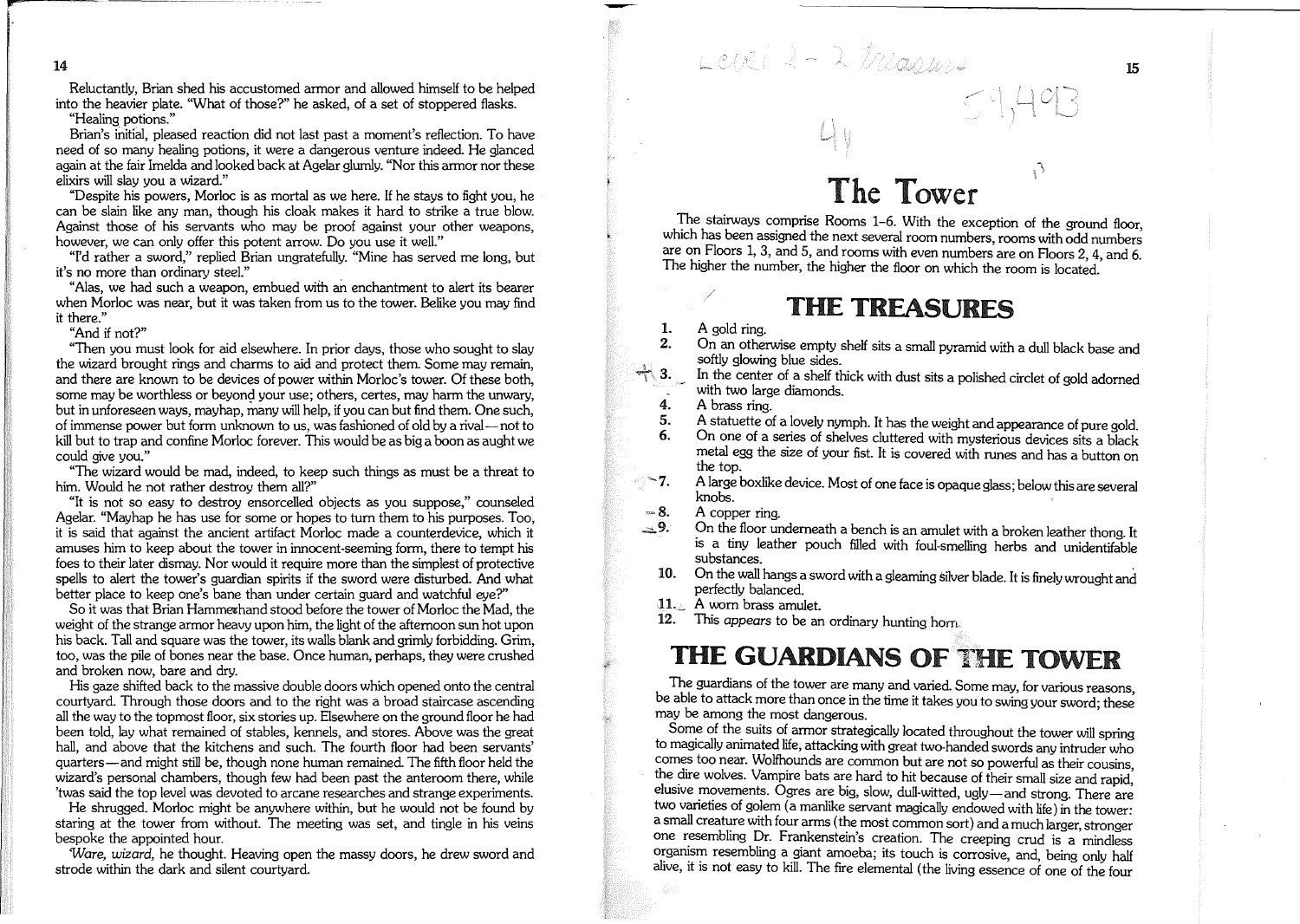$14$  14  $LClCl = \lambda LClCl$ 

Reluctantly, Brian shed his accustomed armor and allowed himself to be helped into the heavier plate. "What of those?" he asked, of a set of stoppered flasks.

"Healing potions."

Brian's initial, pleased reaction did not last past a moment's reflection. To have need of so many healing potions, it were a dangerous venture indeed. He glanced again at the fair Imelda and looked back at Agelar glumly. "Nor this armor nor these elixirs will slay you a wizard."

"Despite his powers, Morloc is as mortal as we here. If he stays to fight you, he can be slain like any man, though his cloak makes it hard to strike a true blow. Against those of his servants who may be proof against your other weapons, however, we can only offer this potent arrow. Do you use it well."

"I'd rather a sword," replied Brian ungratefully. "Mine has served me long, but it's no more than ordinary steel."

"Alas, we had such a weapon, embued with an enchantment to alert its bearer when Morloc was near, but it was taken from us to the tower. Belike you may find it there."

"And if not?"

"Then you must look for aid elsewhere. In prior days, those who sought to slay the wizard brought rings and charms to aid and protect them. Some may remain, and there are known to be devices of power within Morloc's tower. Of these both, some may be worthless or beyond your use; others, certes, may harm the unwary, but in unforeseen ways, mayhap, many will help, if you can but find them. One such, of immense power but form unknown to us, wasfashioned of old by a rival- not to kill but to trap and confine Morloc forever. This would be as big a boon as aught we could give you."

"The wizard would be mad, indeed, to keep such things as must be a threat to him. Would he not rather destroy them all?"

"It is not so easy to destroy ensorcelled objects as you suppose," counseled Agelar. "Mayhap he has use for some or hopes to turn them to his purposes. Too, it is said that against the ancient artifact Morloc made a counterdevice, which it amuses him to keep about the tower in innocent-seeming form, there to tempt his foes to their later dismay. Nor would it require more than the simplest of protective spells to alert the tower's guardian spirits if the sword were disturbed. And what better place to keep one's bane than under certain guard and watchful eye?"

So it was that Brian Hammerhand stood before the tower of Morloc the Mad, the weight of the strange armor heavy upon him, the light of the afternoon sun hot upon his back. Tall and square was the tower, its walls blank and grimly forbidding. Grim, too, was the pile of bones near the base. Once human, perhaps, they were crushed and broken now, bare and dry.

His gaze shifted back to the massive double doors which opened onto the central courtyard. Through those doors and to the right was a broad staircase ascending all the way to the topmost floor, six stories up. Elsewhere on the ground floor he had been told, lay what remained of stables, kennels, and stores. Above was the great hall, and above that the kitchens and such. The fourth floor had been servants' quarters-and might still be, though none human remained. The fifth floor held the wizard's personal chambers, though few had been past the anteroom there, while 'twas said the top level was devoted to arcane researches and strange experiments.

He shrugged. Morloc might be anywhere within, but he would not be found by staring at the tower from without. The meeting was set, and tingle in his veins bespoke the appointed hour.

Ware, *wizard,* he thought. Heaving open the massy doors, he drew sword and strode within the dark and silent courtyard.

## The Tower

 $59,493$ 

The stairways comprise Rooms 1-6. With the exception of the ground floor, which has been assigned the next several room numbers, rooms with odd numbers are on Floors 1, 3, and 5, and rooms with even numbers are on Floors 2, 4, and 6. The higher the number, the higher the floor on which the room is located.

## THE TREASURES

#### A gold ring. 1.

On an otherwise empty shelf sits a small pyramid with a dull black base and softly glowing blue sides. 2.

- In the center of a shelf thick with dust sits a polished circlet of gold adorned with two large diamonds. 3.
- A brass ring. 4.
- A statuette of a lovely nymph. It has the weight and appearance of pure gold. 5.

On one of a senes of shelves cluttered with mysterious devices sits a black metal egg the size of your fist. It is covered with runes and has <sup>a</sup> button on the top. 6.

- <u>ି 7.</u> A large boxlike device. Most of one face is opaque glass; belowthis are several knobs.
- A copper ring.  $-8.$
- On the floor underneath a bench is an amulet with a broken leather thong. It is a tiny leather pouch filled with foul-smelling herbs and unidentifable substances.  $\pm 9.$
- 10. On the wall hangs a sword with a gleaming silver blade. It is finely wrought and perfectly balanced.
- 11. A worn brass amulet.
- 12. This appears to be an ordinary hunting hom

## THE GUARDIANS OF THE TOWER

The guardians of the tower are many and varied. Some may, for various reasons be able to attack more than once in the time it takes you to swing your sword; these may be among the most dangerous.

Some of the suits of armor strategically located throughout the tower will spring to magically animated life, attacking with great two-handed swords any intruder who comes too near. Wolfhounds are common but are not so powerful as their cousins the dire wolves. Vampire bats are hard to hit because of their small size and rapid. elusive movements. Ogres are big, slow, dull-witted, ugly-and strong. There are two vaneties of golem (a manlike servant magically endowed with life) in the tower: a small creature with four arms (the most common sort) and a much larger, stronger one resembling Dr. Frankenstein's creation. The creeping crud is a mindless organism resembling a giant amoeba; its touch is corrosive, and, being only half alive, it is not easy to kill. The fire elemental (the living essence of one of the four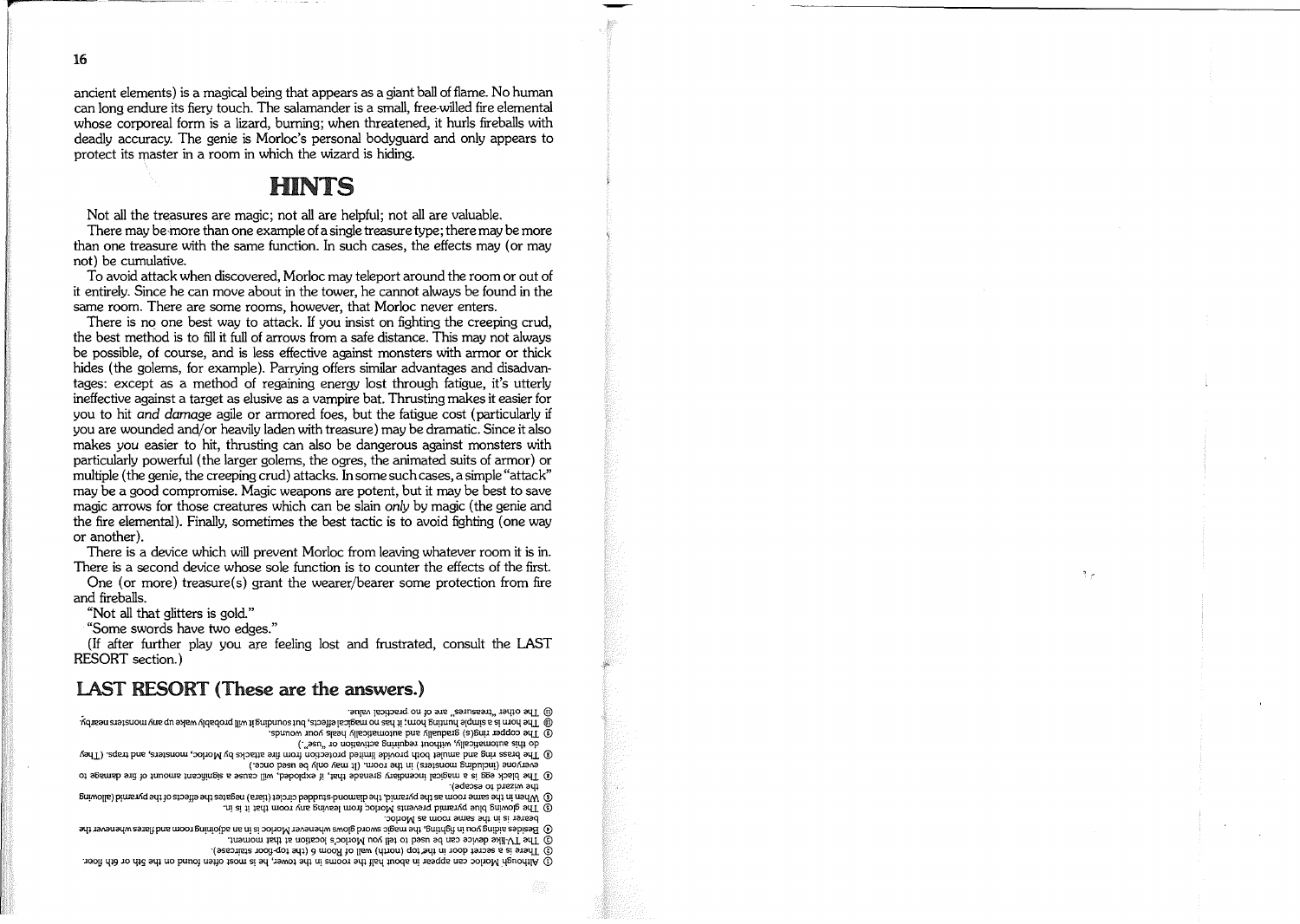16

ancient elements) is a magical being that appears as a giant ball offlame. No human can long endure its fiery touch. The salamander is a small, free-willed fire elemental whose corporeal form is a lizard, burning; when threatened, it hurls fireballs with deadly accuracy. The genie is Morloc's personal bodyguard and only appears to protect its master in a room in which the wizard is hiding.

### **HINTS**

Not all the treasures are magic; not all are helpful; not all are valuable.

There may be more than one example ofa single treasure type; there may be more than one treasure with the same function. In such cases, the effects may (or may not) be cumulative.

To avoid attack when discovered, Morloc may teleport around the room or out of it entirely. Since he can move about in the tower, he cannot always be found in the same room. There are some rooms, however, that Morloc never enters.

There is no one best way to attack. If you insist on fighting the creeping crud, the best method is to fill it full of arrows from a safe distance. This may not always be possible, of course, and is less effective against monsters with armor or thick hides (the golems, for example). Parrying offers similar advantages and disadvantages: except as a method of regaining energy lost through fatigue, it's utterly ineffective against a target as elusive as a vampire bat. Thrusting makes it easier for you to hit *and damage* agile or armored foes, but the fatigue cost (particularly if you are wounded and/or heavily laden with treasure) may be dramatic. Since it also makes you easier to hit, thrusting can also be dangerous against monsters with particularly powerful (the larger golems, the ogres, the animated suits of armor) or multiple (the genie, the creeping crud) attacks. In some such cases, a simple "attack" may be a good compromise. Magic weapons are potent, but it may be best to save magic arrows for those creatures which can be slain only by magic (the genie and the fire elemental). Finally, sometimes the best tactic is to avoid fighting (one way or another).

There is a device which will prevent Morloc from leaving whatever room it is in. There is a second device whose sole function is to counter the effects of the first.

One (or more) treasure(s) grant the wearer/bearer some protection from fire and fireballs.

"Not all that glitters is gold"

"Some swords have two edges."

(If after further play you are feeling lost and frustrated, consult the LAST RESORT section.)

#### LAST RESORT (These are the answers.)

**(0)** I De other Treasures are of no practical value.

@ The horn is a simple hunting horn; it has not nagicals lettects, but bornding it will probably wake up any monsters nearby.  $\overline{6}$  The copper ring(s) gradually and automatically heals your wounds.

(.**"osn" JO uOg'2I\!l'J12 8u!l!11baJ ln0l{l!M 'fiU'2:>!+'2WOlne S!t{l op**

 $\Omega$  The brass ring and anniet both provide limited protection from fire attacks by Morloc, monsters, and traps. (They ext. Aouo pasn aq Ajuo Aeuu 11) 'wood ay uu (saasuow 6upnpu) auoAdaha

Of The black egg is a magical incendiary grenade that, it exploded, will cause a significant strature in the damage to ladessa of presiw and

 $(5)$  When in the same room as the pyramid, the diamond-shudded circlet (tiara) negates the effects of the purant (allowing **·U! S! +! l2llJ. WOOl nue** 5u~l2aI **WOl} :,oIJOW SlU31\3Jd p!llmllid anrq SU!MOIfi 3llI. CD**

**':>0lloW se WOOl awes a41 U! S! laleaq**

46 Besides aiding the model of the magic sword glows whenever Morloc is in an adjoining room and flares whenever the

 $\odot$  The TV-like device can be used to tell you Morloc's location at that moment.

 $\Omega$  These is a secter door in the top (norm) wall of troom a (the top lioor staircase).

 $\mathbb O$  Although Morloc can appear in about half the rooms in the tower, he is most often found on the 5th or 6th floor.

 $3 -$